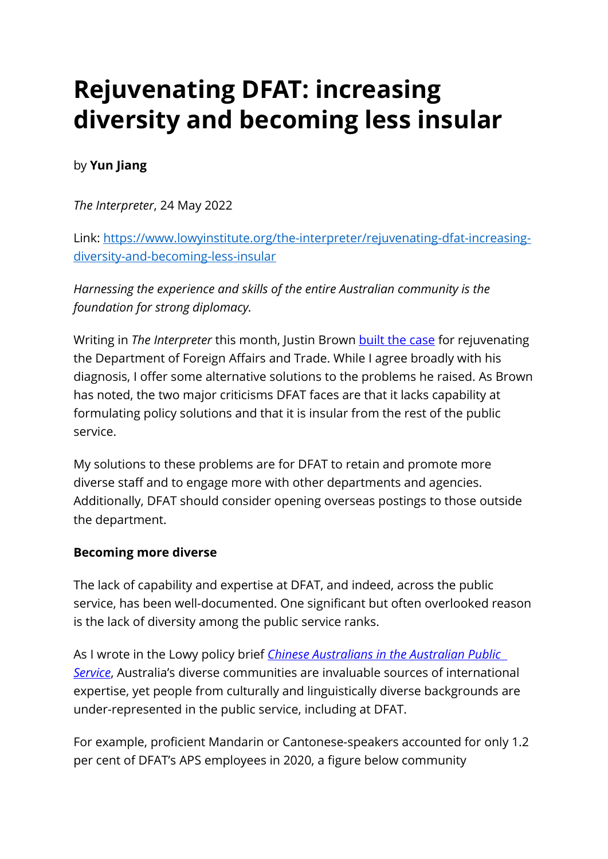# **Rejuvenating DFAT: increasing diversity and becoming less insular**

## by **Yun Jiang**

*The Interpreter*, 24 May 2022

Link: [https://www.lowyinstitute.org/the-interpreter/rejuvenating-dfat-increasing](https://www.lowyinstitute.org/the-interpreter/rejuvenating-dfat-increasing-diversity-and-becoming-less-insular)[diversity-and-becoming-less-insular](https://www.lowyinstitute.org/the-interpreter/rejuvenating-dfat-increasing-diversity-and-becoming-less-insular) 

*Harnessing the experience and skills of the entire Australian community is the foundation for strong diplomacy.* 

Writing in *The Interpreter* this month, Justin Brown [built the case](https://www.lowyinstitute.org/the-interpreter/case-rejuvenating-dfat) for rejuvenating the Department of Foreign Affairs and Trade. While I agree broadly with his diagnosis, I offer some alternative solutions to the problems he raised. As Brown has noted, the two major criticisms DFAT faces are that it lacks capability at formulating policy solutions and that it is insular from the rest of the public service.

My solutions to these problems are for DFAT to retain and promote more diverse staff and to engage more with other departments and agencies. Additionally, DFAT should consider opening overseas postings to those outside the department.

#### **Becoming more diverse**

The lack of capability and expertise at DFAT, and indeed, across the public service, has been well-documented. One significant but often overlooked reason is the lack of diversity among the public service ranks.

As I wrote in the Lowy policy brief *[Chinese Australians in the Australian Public](https://www.lowyinstitute.org/publications/chinese-australians-australian-public-service)  [Service](https://www.lowyinstitute.org/publications/chinese-australians-australian-public-service)*, Australia's diverse communities are invaluable sources of international expertise, yet people from culturally and linguistically diverse backgrounds are under-represented in the public service, including at DFAT.

For example, proficient Mandarin or Cantonese-speakers accounted for only 1.2 per cent of DFAT's APS employees in 2020, a figure below community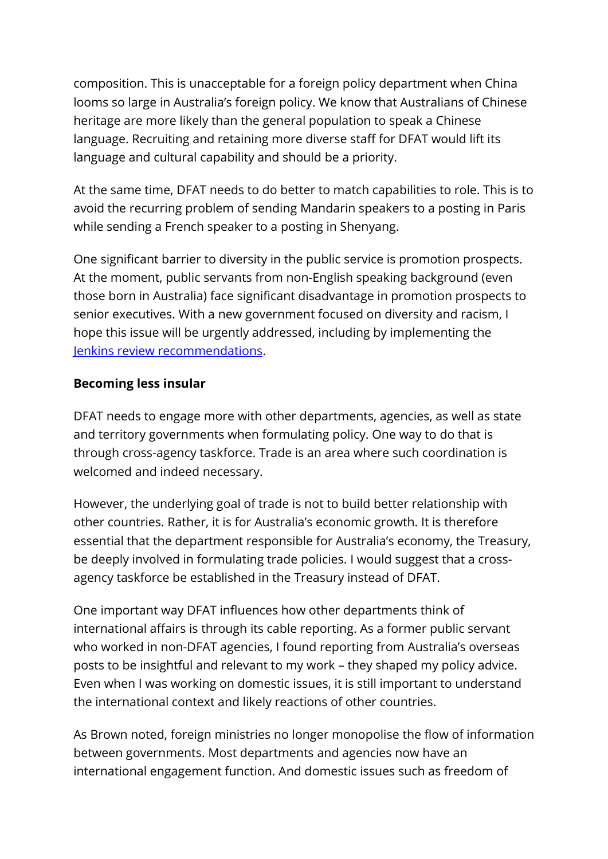composition. This is unacceptable for a foreign policy department when China looms so large in Australia's foreign policy. We know that Australians of Chinese heritage are more likely than the general population to speak a Chinese language. Recruiting and retaining more diverse staff for DFAT would lift its language and cultural capability and should be a priority.

At the same time, DFAT needs to do better to match capabilities to role. This is to avoid the recurring problem of sending Mandarin speakers to a posting in Paris while sending a French speaker to a posting in Shenyang.

One significant barrier to diversity in the public service is promotion prospects. At the moment, public servants from non-English speaking background (even those born in Australia) face significant disadvantage in promotion prospects to senior executives. With a new government focused on diversity and racism, I hope this issue will be urgently addressed, including by implementing the [Jenkins review recommendations.](https://humanrights.gov.au/CPWReview)

#### **Becoming less insular**

DFAT needs to engage more with other departments, agencies, as well as state and territory governments when formulating policy. One way to do that is through cross-agency taskforce. Trade is an area where such coordination is welcomed and indeed necessary.

However, the underlying goal of trade is not to build better relationship with other countries. Rather, it is for Australia's economic growth. It is therefore essential that the department responsible for Australia's economy, the Treasury, be deeply involved in formulating trade policies. I would suggest that a crossagency taskforce be established in the Treasury instead of DFAT.

One important way DFAT influences how other departments think of international affairs is through its cable reporting. As a former public servant who worked in non-DFAT agencies, I found reporting from Australia's overseas posts to be insightful and relevant to my work – they shaped my policy advice. Even when I was working on domestic issues, it is still important to understand the international context and likely reactions of other countries.

As Brown noted, foreign ministries no longer monopolise the flow of information between governments. Most departments and agencies now have an international engagement function. And domestic issues such as freedom of